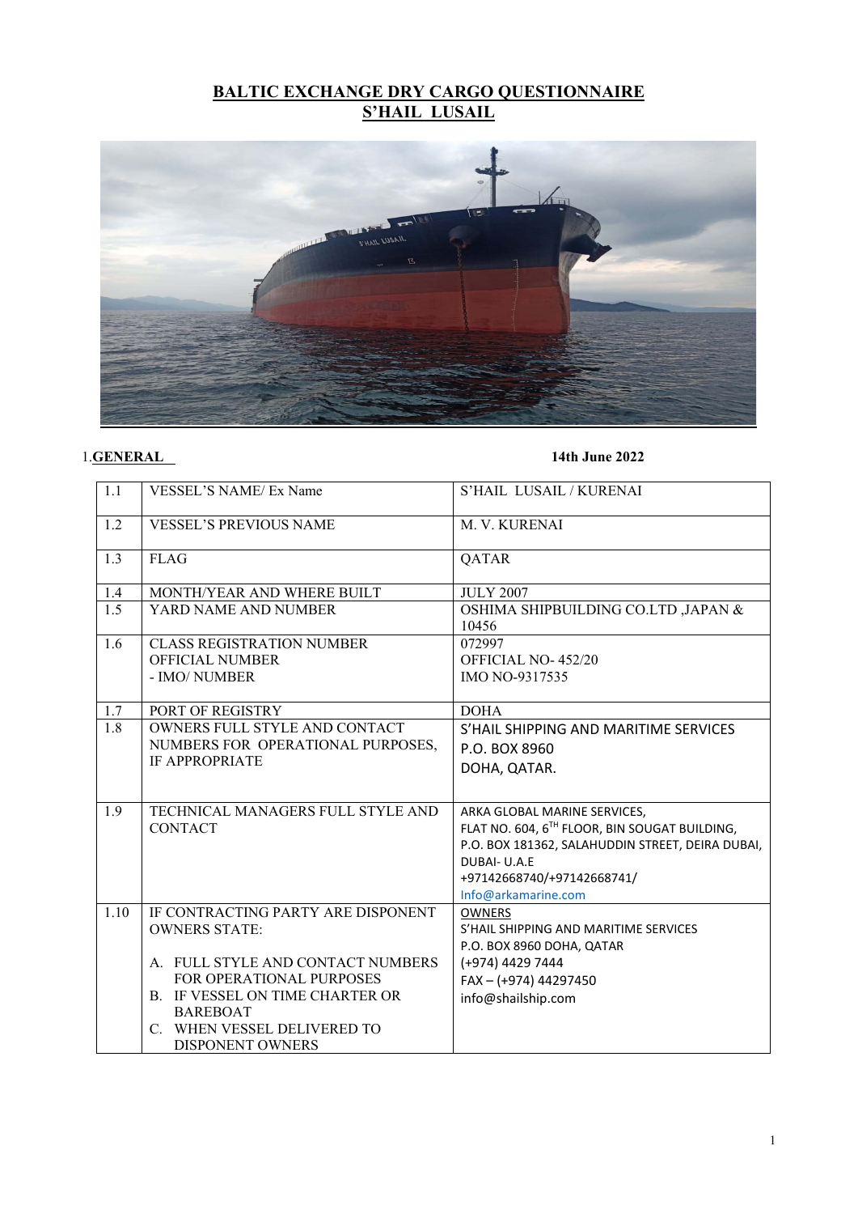# **BALTIC EXCHANGE DRY CARGO QUESTIONNAIRE S'HAIL LUSAIL**



### 1.**GENERAL 14th June 2022**

| 1.1  | <b>VESSEL'S NAME/ Ex Name</b>          | S'HAIL LUSAIL / KURENAI                                |
|------|----------------------------------------|--------------------------------------------------------|
| 1.2  | <b>VESSEL'S PREVIOUS NAME</b>          | M. V. KURENAI                                          |
| 1.3  | <b>FLAG</b>                            | QATAR                                                  |
| 1.4  | MONTH/YEAR AND WHERE BUILT             | <b>JULY 2007</b>                                       |
| 1.5  | YARD NAME AND NUMBER                   | OSHIMA SHIPBUILDING CO.LTD ,JAPAN &<br>10456           |
| 1.6  | <b>CLASS REGISTRATION NUMBER</b>       | 072997                                                 |
|      | <b>OFFICIAL NUMBER</b>                 | OFFICIAL NO-452/20                                     |
|      | - IMO/ NUMBER                          | IMO NO-9317535                                         |
| 1.7  | PORT OF REGISTRY                       | <b>DOHA</b>                                            |
| 1.8  | OWNERS FULL STYLE AND CONTACT          | S'HAIL SHIPPING AND MARITIME SERVICES                  |
|      | NUMBERS FOR OPERATIONAL PURPOSES,      | P.O. BOX 8960                                          |
|      | <b>IF APPROPRIATE</b>                  | DOHA, QATAR.                                           |
|      |                                        |                                                        |
| 1.9  | TECHNICAL MANAGERS FULL STYLE AND      | ARKA GLOBAL MARINE SERVICES,                           |
|      | <b>CONTACT</b>                         | FLAT NO. 604, 6TH FLOOR, BIN SOUGAT BUILDING,          |
|      |                                        | P.O. BOX 181362, SALAHUDDIN STREET, DEIRA DUBAI,       |
|      |                                        | DUBAI- U.A.E                                           |
|      |                                        | +97142668740/+97142668741/                             |
| 1.10 | IF CONTRACTING PARTY ARE DISPONENT     | Info@arkamarine.com                                    |
|      | <b>OWNERS STATE:</b>                   | <b>OWNERS</b><br>S'HAIL SHIPPING AND MARITIME SERVICES |
|      |                                        | P.O. BOX 8960 DOHA, QATAR                              |
|      | A. FULL STYLE AND CONTACT NUMBERS      | (+974) 4429 7444                                       |
|      | <b>FOR OPERATIONAL PURPOSES</b>        | FAX-(+974) 44297450                                    |
|      | <b>B. IF VESSEL ON TIME CHARTER OR</b> | info@shailship.com                                     |
|      | <b>BAREBOAT</b>                        |                                                        |
|      | C. WHEN VESSEL DELIVERED TO            |                                                        |
|      | <b>DISPONENT OWNERS</b>                |                                                        |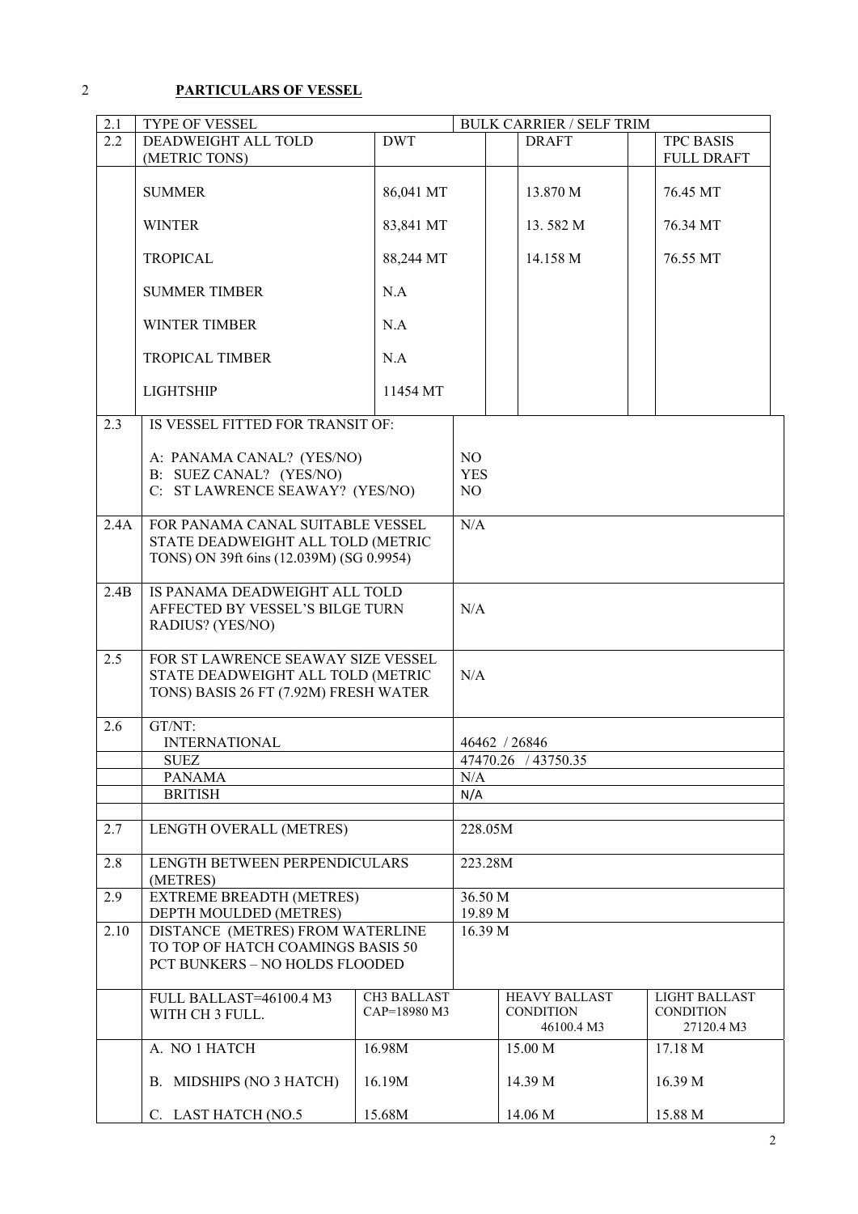### 2 **PARTICULARS OF VESSEL**

| 2.1  | TYPE OF VESSEL                                                        |              |            |  | <b>BULK CARRIER / SELF TRIM</b> |                  |                   |
|------|-----------------------------------------------------------------------|--------------|------------|--|---------------------------------|------------------|-------------------|
| 2.2  | DEADWEIGHT ALL TOLD                                                   | <b>DWT</b>   |            |  | <b>DRAFT</b>                    | <b>TPC BASIS</b> |                   |
|      | (METRIC TONS)                                                         |              |            |  |                                 |                  | <b>FULL DRAFT</b> |
|      |                                                                       |              |            |  |                                 |                  |                   |
|      | <b>SUMMER</b>                                                         | 86,041 MT    |            |  | 13.870 M                        | 76.45 MT         |                   |
|      |                                                                       |              |            |  |                                 |                  |                   |
|      | <b>WINTER</b>                                                         | 83,841 MT    |            |  | 13.582 M                        | 76.34 MT         |                   |
|      |                                                                       |              |            |  |                                 |                  |                   |
|      | <b>TROPICAL</b>                                                       | 88,244 MT    |            |  | 14.158 M                        | 76.55 MT         |                   |
|      |                                                                       |              |            |  |                                 |                  |                   |
|      | <b>SUMMER TIMBER</b>                                                  | N.A          |            |  |                                 |                  |                   |
|      | <b>WINTER TIMBER</b>                                                  | N.A          |            |  |                                 |                  |                   |
|      |                                                                       |              |            |  |                                 |                  |                   |
|      | <b>TROPICAL TIMBER</b>                                                | N.A          |            |  |                                 |                  |                   |
|      |                                                                       |              |            |  |                                 |                  |                   |
|      | <b>LIGHTSHIP</b>                                                      | 11454 MT     |            |  |                                 |                  |                   |
|      |                                                                       |              |            |  |                                 |                  |                   |
| 2.3  | IS VESSEL FITTED FOR TRANSIT OF:                                      |              |            |  |                                 |                  |                   |
|      |                                                                       |              |            |  |                                 |                  |                   |
|      | A: PANAMA CANAL? (YES/NO)                                             |              | NO         |  |                                 |                  |                   |
|      | B: SUEZ CANAL? (YES/NO)                                               |              | <b>YES</b> |  |                                 |                  |                   |
|      | C: ST LAWRENCE SEAWAY? (YES/NO)                                       |              | NO         |  |                                 |                  |                   |
|      |                                                                       |              |            |  |                                 |                  |                   |
| 2.4A | FOR PANAMA CANAL SUITABLE VESSEL                                      |              | N/A        |  |                                 |                  |                   |
|      | STATE DEADWEIGHT ALL TOLD (METRIC                                     |              |            |  |                                 |                  |                   |
|      | TONS) ON 39ft 6ins (12.039M) (SG 0.9954)                              |              |            |  |                                 |                  |                   |
|      |                                                                       |              |            |  |                                 |                  |                   |
| 2.4B | IS PANAMA DEADWEIGHT ALL TOLD                                         |              | N/A        |  |                                 |                  |                   |
|      | AFFECTED BY VESSEL'S BILGE TURN                                       |              |            |  |                                 |                  |                   |
|      | RADIUS? (YES/NO)                                                      |              |            |  |                                 |                  |                   |
| 2.5  | FOR ST LAWRENCE SEAWAY SIZE VESSEL                                    |              |            |  |                                 |                  |                   |
|      | STATE DEADWEIGHT ALL TOLD (METRIC                                     |              | N/A        |  |                                 |                  |                   |
|      | TONS) BASIS 26 FT (7.92M) FRESH WATER                                 |              |            |  |                                 |                  |                   |
|      |                                                                       |              |            |  |                                 |                  |                   |
| 2.6  | GT/NT:                                                                |              |            |  |                                 |                  |                   |
|      | <b>INTERNATIONAL</b>                                                  |              |            |  | 46462 / 26846                   |                  |                   |
|      | <b>SUEZ</b>                                                           |              |            |  | 47470.26 / 43750.35             |                  |                   |
|      | <b>PANAMA</b>                                                         |              | N/A        |  |                                 |                  |                   |
|      | <b>BRITISH</b>                                                        |              | N/A        |  |                                 |                  |                   |
|      |                                                                       |              |            |  |                                 |                  |                   |
| 2.7  | LENGTH OVERALL (METRES)                                               |              | 228.05M    |  |                                 |                  |                   |
|      |                                                                       |              |            |  |                                 |                  |                   |
| 2.8  | LENGTH BETWEEN PERPENDICULARS                                         |              | 223.28M    |  |                                 |                  |                   |
|      | (METRES)                                                              |              |            |  |                                 |                  |                   |
| 2.9  | <b>EXTREME BREADTH (METRES)</b>                                       |              | 36.50 M    |  |                                 |                  |                   |
|      | DEPTH MOULDED (METRES)                                                |              | 19.89 M    |  |                                 |                  |                   |
| 2.10 | DISTANCE (METRES) FROM WATERLINE<br>TO TOP OF HATCH COAMINGS BASIS 50 |              | 16.39 M    |  |                                 |                  |                   |
|      |                                                                       |              |            |  |                                 |                  |                   |
|      | PCT BUNKERS - NO HOLDS FLOODED                                        |              |            |  |                                 |                  |                   |
|      |                                                                       |              |            |  |                                 |                  |                   |
|      | FULL BALLAST=46100.4 M3                                               | CH3 BALLAST  |            |  | <b>HEAVY BALLAST</b>            |                  | LIGHT BALLAST     |
|      | WITH CH 3 FULL.                                                       | CAP=18980 M3 |            |  | <b>CONDITION</b>                | <b>CONDITION</b> |                   |
|      |                                                                       |              |            |  | 46100.4 M3                      |                  | 27120.4 M3        |
|      | A. NO 1 HATCH                                                         | 16.98M       |            |  | 15.00 M                         | 17.18 M          |                   |
|      |                                                                       |              |            |  |                                 |                  |                   |
|      | B. MIDSHIPS (NO 3 HATCH)                                              | 16.19M       |            |  | 14.39 M                         | 16.39 M          |                   |
|      |                                                                       |              |            |  |                                 |                  |                   |
|      | C. LAST HATCH (NO.5                                                   | 15.68M       |            |  | 14.06 M                         | 15.88 M          |                   |

2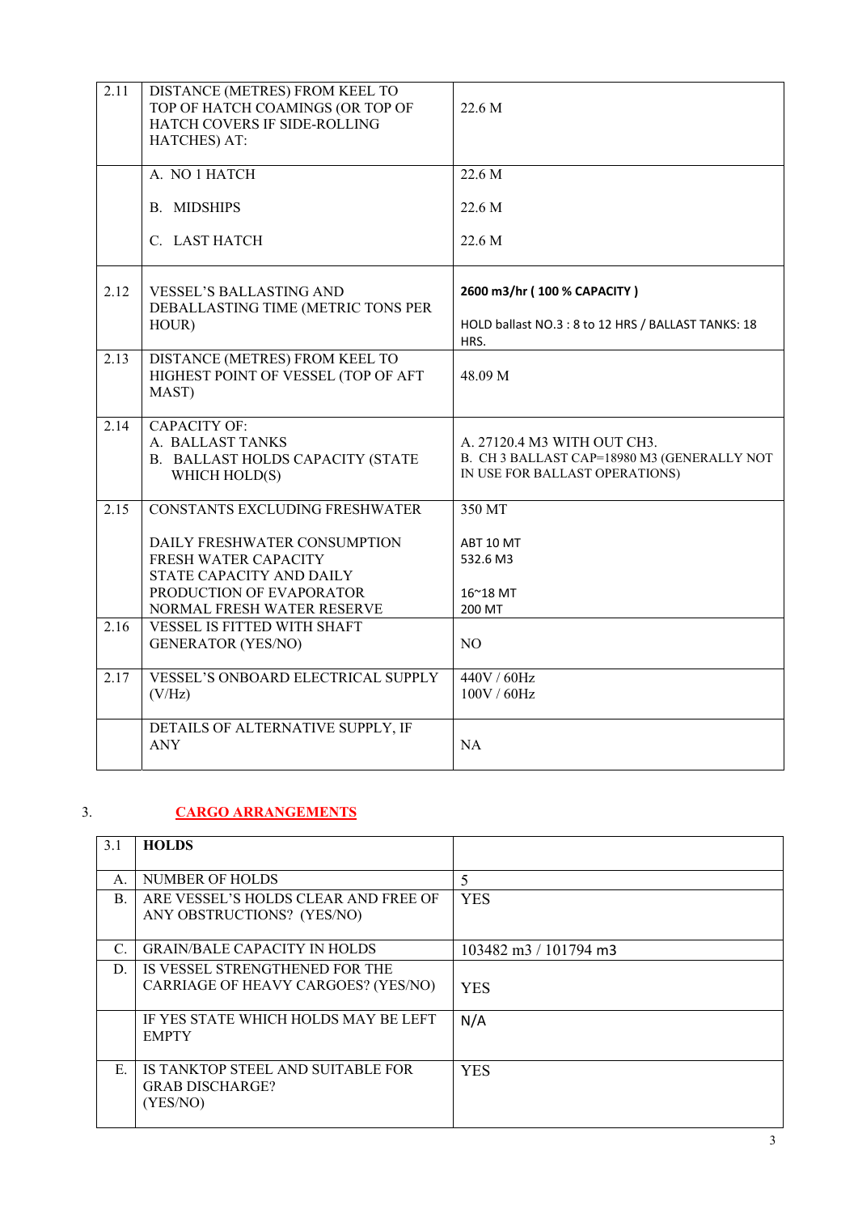| 2.11 | DISTANCE (METRES) FROM KEEL TO<br>TOP OF HATCH COAMINGS (OR TOP OF<br>HATCH COVERS IF SIDE-ROLLING<br>HATCHES) AT:                                                           | 22.6 M                                                                                                       |
|------|------------------------------------------------------------------------------------------------------------------------------------------------------------------------------|--------------------------------------------------------------------------------------------------------------|
|      | A. NO 1 HATCH                                                                                                                                                                | 22.6 M                                                                                                       |
|      | <b>B. MIDSHIPS</b>                                                                                                                                                           | 22.6 M                                                                                                       |
|      | C. LAST HATCH                                                                                                                                                                | 22.6 M                                                                                                       |
| 2.12 | <b>VESSEL'S BALLASTING AND</b><br>DEBALLASTING TIME (METRIC TONS PER<br>HOUR)                                                                                                | 2600 m3/hr (100 % CAPACITY)<br>HOLD ballast NO.3 : 8 to 12 HRS / BALLAST TANKS: 18<br>HRS.                   |
| 2.13 | DISTANCE (METRES) FROM KEEL TO<br>HIGHEST POINT OF VESSEL (TOP OF AFT<br>MAST)                                                                                               | 48.09 M                                                                                                      |
| 2.14 | <b>CAPACITY OF:</b><br>A. BALLAST TANKS<br>B. BALLAST HOLDS CAPACITY (STATE<br>WHICH HOLD(S)                                                                                 | A. 27120.4 M3 WITH OUT CH3.<br>B. CH 3 BALLAST CAP=18980 M3 (GENERALLY NOT<br>IN USE FOR BALLAST OPERATIONS) |
| 2.15 | CONSTANTS EXCLUDING FRESHWATER<br>DAILY FRESHWATER CONSUMPTION<br>FRESH WATER CAPACITY<br>STATE CAPACITY AND DAILY<br>PRODUCTION OF EVAPORATOR<br>NORMAL FRESH WATER RESERVE | 350 MT<br>ABT 10 MT<br>532.6 M3<br>16~18 MT<br>200 MT                                                        |
| 2.16 | <b>VESSEL IS FITTED WITH SHAFT</b><br><b>GENERATOR (YES/NO)</b>                                                                                                              | NO                                                                                                           |
| 2.17 | VESSEL'S ONBOARD ELECTRICAL SUPPLY<br>(V/Hz)                                                                                                                                 | 440V / 60Hz<br>100V / 60Hz                                                                                   |
|      | DETAILS OF ALTERNATIVE SUPPLY, IF<br><b>ANY</b>                                                                                                                              | <b>NA</b>                                                                                                    |

### 3. **CARGO ARRANGEMENTS**

| 3.1             | <b>HOLDS</b>                         |                                           |
|-----------------|--------------------------------------|-------------------------------------------|
|                 |                                      |                                           |
| А.              | NUMBER OF HOLDS                      | 5                                         |
| B.              | ARE VESSEL'S HOLDS CLEAR AND FREE OF | <b>YES</b>                                |
|                 | ANY OBSTRUCTIONS? (YES/NO)           |                                           |
| $\mathcal{C}$ . | <b>GRAIN/BALE CAPACITY IN HOLDS</b>  | $103482 \text{ m}^3 / 101794 \text{ m}^3$ |
| D.              | IS VESSEL STRENGTHENED FOR THE       |                                           |
|                 | CARRIAGE OF HEAVY CARGOES? (YES/NO)  | <b>YES</b>                                |
|                 | IF YES STATE WHICH HOLDS MAY BE LEFT | N/A                                       |
|                 | <b>EMPTY</b>                         |                                           |
| E.              | IS TANKTOP STEEL AND SUITABLE FOR    | <b>YES</b>                                |
|                 | <b>GRAB DISCHARGE?</b>               |                                           |
|                 | (YES/NO)                             |                                           |
|                 |                                      |                                           |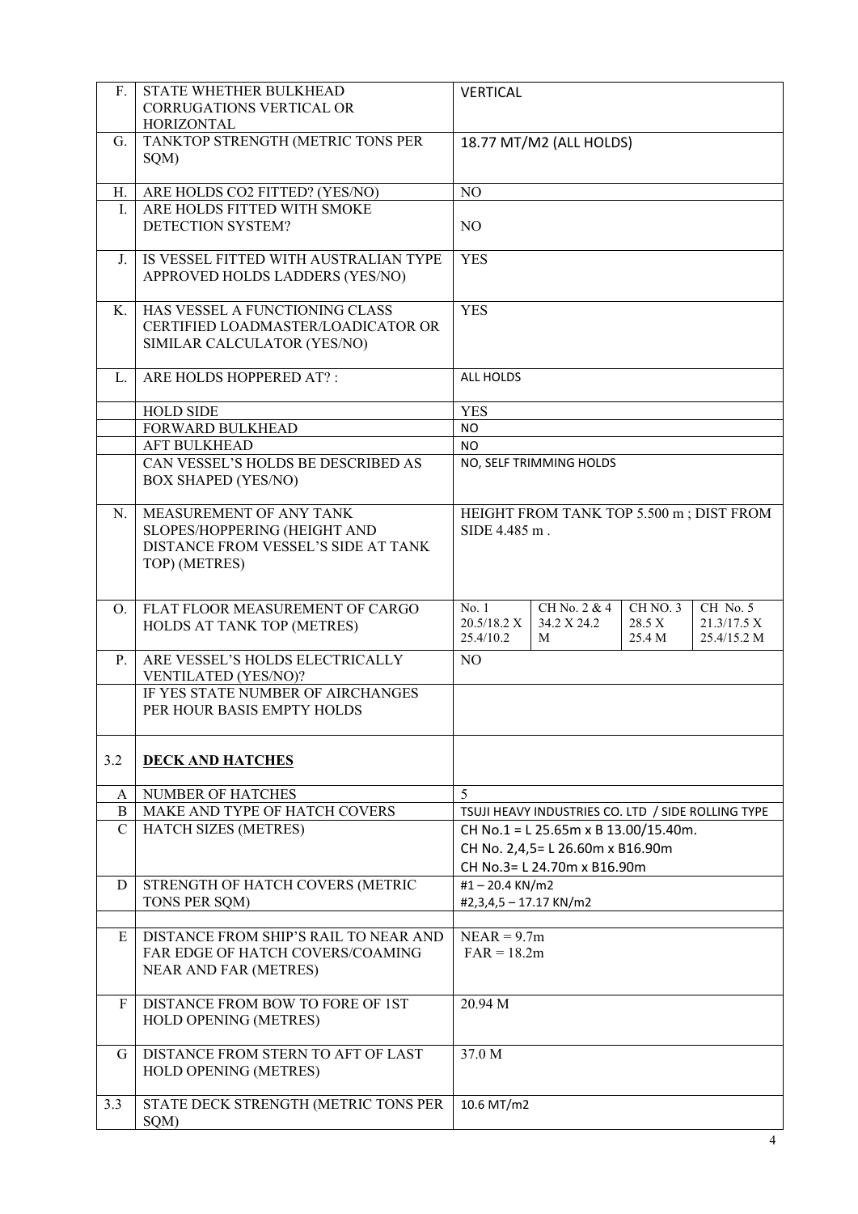| F.            | STATE WHETHER BULKHEAD<br><b>CORRUGATIONS VERTICAL OR</b><br>HORIZONTAL                                         | <b>VERTICAL</b>                                                                                                                                 |  |
|---------------|-----------------------------------------------------------------------------------------------------------------|-------------------------------------------------------------------------------------------------------------------------------------------------|--|
| G.            | TANKTOP STRENGTH (METRIC TONS PER<br>SQM)                                                                       | 18.77 MT/M2 (ALL HOLDS)                                                                                                                         |  |
| H.            | ARE HOLDS CO2 FITTED? (YES/NO)                                                                                  | NO                                                                                                                                              |  |
| Ι.            | ARE HOLDS FITTED WITH SMOKE<br>DETECTION SYSTEM?                                                                | N <sub>O</sub>                                                                                                                                  |  |
| J.            | IS VESSEL FITTED WITH AUSTRALIAN TYPE<br>APPROVED HOLDS LADDERS (YES/NO)                                        | <b>YES</b>                                                                                                                                      |  |
| K.            | HAS VESSEL A FUNCTIONING CLASS<br>CERTIFIED LOADMASTER/LOADICATOR OR<br>SIMILAR CALCULATOR (YES/NO)             | <b>YES</b>                                                                                                                                      |  |
| L.            | ARE HOLDS HOPPERED AT?:                                                                                         | <b>ALL HOLDS</b>                                                                                                                                |  |
|               | <b>HOLD SIDE</b>                                                                                                | <b>YES</b>                                                                                                                                      |  |
|               | FORWARD BULKHEAD                                                                                                | <b>NO</b>                                                                                                                                       |  |
|               | <b>AFT BULKHEAD</b>                                                                                             | <b>NO</b>                                                                                                                                       |  |
|               | CAN VESSEL'S HOLDS BE DESCRIBED AS<br><b>BOX SHAPED (YES/NO)</b>                                                | NO, SELF TRIMMING HOLDS                                                                                                                         |  |
| N.            | MEASUREMENT OF ANY TANK<br>SLOPES/HOPPERING (HEIGHT AND<br>DISTANCE FROM VESSEL'S SIDE AT TANK<br>TOP) (METRES) | HEIGHT FROM TANK TOP 5.500 m; DIST FROM<br>SIDE 4.485 m.                                                                                        |  |
| O.            | FLAT FLOOR MEASUREMENT OF CARGO<br>HOLDS AT TANK TOP (METRES)                                                   | No. 1<br>CH No. 2 & 4<br>CH NO. 3<br>CH No. 5<br>20.5/18.2 X<br>34.2 X 24.2<br>28.5 X<br>21.3/17.5 X<br>25.4/10.2<br>25.4/15.2 M<br>25.4 M<br>М |  |
| $P_{\cdot}$   | ARE VESSEL'S HOLDS ELECTRICALLY<br>VENTILATED (YES/NO)?                                                         | NO                                                                                                                                              |  |
|               | IF YES STATE NUMBER OF AIRCHANGES<br>PER HOUR BASIS EMPTY HOLDS                                                 |                                                                                                                                                 |  |
| 3.2           | <b>DECK AND HATCHES</b>                                                                                         |                                                                                                                                                 |  |
| A             | NUMBER OF HATCHES                                                                                               | 5                                                                                                                                               |  |
| B             | MAKE AND TYPE OF HATCH COVERS                                                                                   | TSUJI HEAVY INDUSTRIES CO. LTD / SIDE ROLLING TYPE                                                                                              |  |
| $\mathcal{C}$ | HATCH SIZES (METRES)                                                                                            | CH No.1 = L 25.65m x B 13.00/15.40m.                                                                                                            |  |
|               |                                                                                                                 | CH No. 2,4,5 = L 26.60m x B16.90m                                                                                                               |  |
| D             | STRENGTH OF HATCH COVERS (METRIC                                                                                | CH No.3= L 24.70m x B16.90m<br>#1-20.4 KN/m2                                                                                                    |  |
|               | TONS PER SQM)                                                                                                   | #2,3,4,5 - 17.17 KN/m2                                                                                                                          |  |
| E             | DISTANCE FROM SHIP'S RAIL TO NEAR AND<br>FAR EDGE OF HATCH COVERS/COAMING<br>NEAR AND FAR (METRES)              | $NEAR = 9.7m$<br>$FAR = 18.2m$                                                                                                                  |  |
| $\mathbf{F}$  | DISTANCE FROM BOW TO FORE OF 1ST<br>HOLD OPENING (METRES)                                                       | 20.94 M                                                                                                                                         |  |
| G             | DISTANCE FROM STERN TO AFT OF LAST<br>HOLD OPENING (METRES)                                                     | 37.0 M                                                                                                                                          |  |
| 3.3           | STATE DECK STRENGTH (METRIC TONS PER<br>SQM)                                                                    | 10.6 MT/m2                                                                                                                                      |  |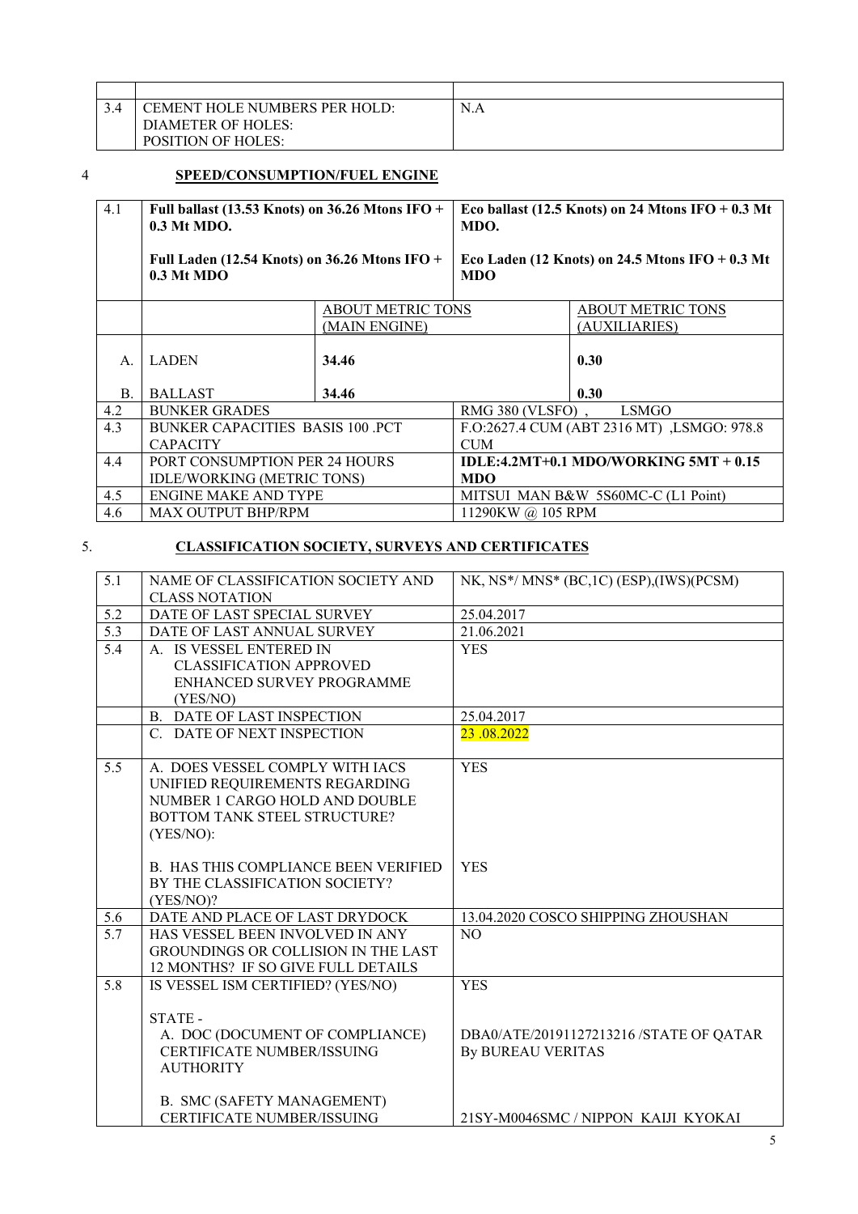| CEMENT HOLE NUMBERS PER HOLD: | N<br>N.A |
|-------------------------------|----------|
| DIAMETER OF HOLES:            |          |
| <b>POSITION OF HOLES:</b>     |          |

#### 4 **SPEED/CONSUMPTION/FUEL ENGINE**

| 4.1       | Full ballast (13.53 Knots) on 36.26 Mtons IFO +<br>$0.3$ Mt MDO. |                                           | Eco ballast (12.5 Knots) on 24 Mtons IFO $+0.3$ Mt<br>MDO.     |                                            |  |
|-----------|------------------------------------------------------------------|-------------------------------------------|----------------------------------------------------------------|--------------------------------------------|--|
|           | Full Laden (12.54 Knots) on $36.26$ Mtons IFO +<br>$0.3$ Mt MDO  |                                           | Eco Laden (12 Knots) on 24.5 Mtons IFO $+0.3$ Mt<br><b>MDO</b> |                                            |  |
|           |                                                                  | <b>ABOUT METRIC TONS</b><br>(MAIN ENGINE) |                                                                | <b>ABOUT METRIC TONS</b><br>(AUXILIARIES)  |  |
| A.        | <b>LADEN</b>                                                     | 34.46                                     |                                                                | 0.30                                       |  |
| <b>B.</b> | <b>BALLAST</b>                                                   | 34.46                                     |                                                                | 0.30                                       |  |
| 4.2       | <b>BUNKER GRADES</b>                                             |                                           | RMG 380 (VLSFO)                                                | <b>LSMGO</b>                               |  |
| 4.3       | <b>BUNKER CAPACITIES BASIS 100 PCT</b>                           |                                           |                                                                | F.O:2627.4 CUM (ABT 2316 MT), LSMGO: 978.8 |  |
|           | <b>CAPACITY</b>                                                  |                                           |                                                                | <b>CUM</b>                                 |  |
| 4.4       | PORT CONSUMPTION PER 24 HOURS                                    |                                           | IDLE:4.2MT+0.1 MDO/WORKING 5MT + $0.15$                        |                                            |  |
|           | IDLE/WORKING (METRIC TONS)                                       |                                           | <b>MDO</b>                                                     |                                            |  |
| 4.5       | <b>ENGINE MAKE AND TYPE</b>                                      |                                           | MITSUI MAN B&W 5S60MC-C (L1 Point)                             |                                            |  |
| 4.6       | <b>MAX OUTPUT BHP/RPM</b>                                        |                                           | 11290KW @ 105 RPM                                              |                                            |  |

### 5. **CLASSIFICATION SOCIETY, SURVEYS AND CERTIFICATES**

| 5.1              | NAME OF CLASSIFICATION SOCIETY AND          | NK, NS*/MNS* (BC,1C) (ESP),(IWS)(PCSM)  |
|------------------|---------------------------------------------|-----------------------------------------|
|                  | <b>CLASS NOTATION</b>                       |                                         |
| 5.2              | DATE OF LAST SPECIAL SURVEY                 | 25.04.2017                              |
| $\overline{5.3}$ | DATE OF LAST ANNUAL SURVEY                  | 21.06.2021                              |
| 5.4              | A. IS VESSEL ENTERED IN                     | <b>YES</b>                              |
|                  | <b>CLASSIFICATION APPROVED</b>              |                                         |
|                  | ENHANCED SURVEY PROGRAMME                   |                                         |
|                  | (YES/NO)                                    |                                         |
|                  | <b>B. DATE OF LAST INSPECTION</b>           | 25.04.2017                              |
|                  | C. DATE OF NEXT INSPECTION                  | 23.08.2022                              |
|                  |                                             |                                         |
| 5.5              | A. DOES VESSEL COMPLY WITH IACS             | <b>YES</b>                              |
|                  | UNIFIED REQUIREMENTS REGARDING              |                                         |
|                  | NUMBER 1 CARGO HOLD AND DOUBLE              |                                         |
|                  | BOTTOM TANK STEEL STRUCTURE?                |                                         |
|                  | (YES/NO):                                   |                                         |
|                  |                                             |                                         |
|                  | <b>B. HAS THIS COMPLIANCE BEEN VERIFIED</b> | <b>YES</b>                              |
|                  | BY THE CLASSIFICATION SOCIETY?              |                                         |
|                  | (YES/NO)?                                   |                                         |
| 5.6              | DATE AND PLACE OF LAST DRYDOCK              | 13.04.2020 COSCO SHIPPING ZHOUSHAN      |
| 5.7              | HAS VESSEL BEEN INVOLVED IN ANY             | N <sub>O</sub>                          |
|                  | GROUNDINGS OR COLLISION IN THE LAST         |                                         |
|                  | 12 MONTHS? IF SO GIVE FULL DETAILS          |                                         |
| 5.8              | IS VESSEL ISM CERTIFIED? (YES/NO)           | <b>YES</b>                              |
|                  |                                             |                                         |
|                  | STATE-                                      |                                         |
|                  | A. DOC (DOCUMENT OF COMPLIANCE)             | DBA0/ATE/20191127213216 /STATE OF QATAR |
|                  | <b>CERTIFICATE NUMBER/ISSUING</b>           | By BUREAU VERITAS                       |
|                  | <b>AUTHORITY</b>                            |                                         |
|                  |                                             |                                         |
|                  | <b>B. SMC (SAFETY MANAGEMENT)</b>           |                                         |
|                  | <b>CERTIFICATE NUMBER/ISSUING</b>           | 21SY-M0046SMC/NIPPON KAIJI KYOKAI       |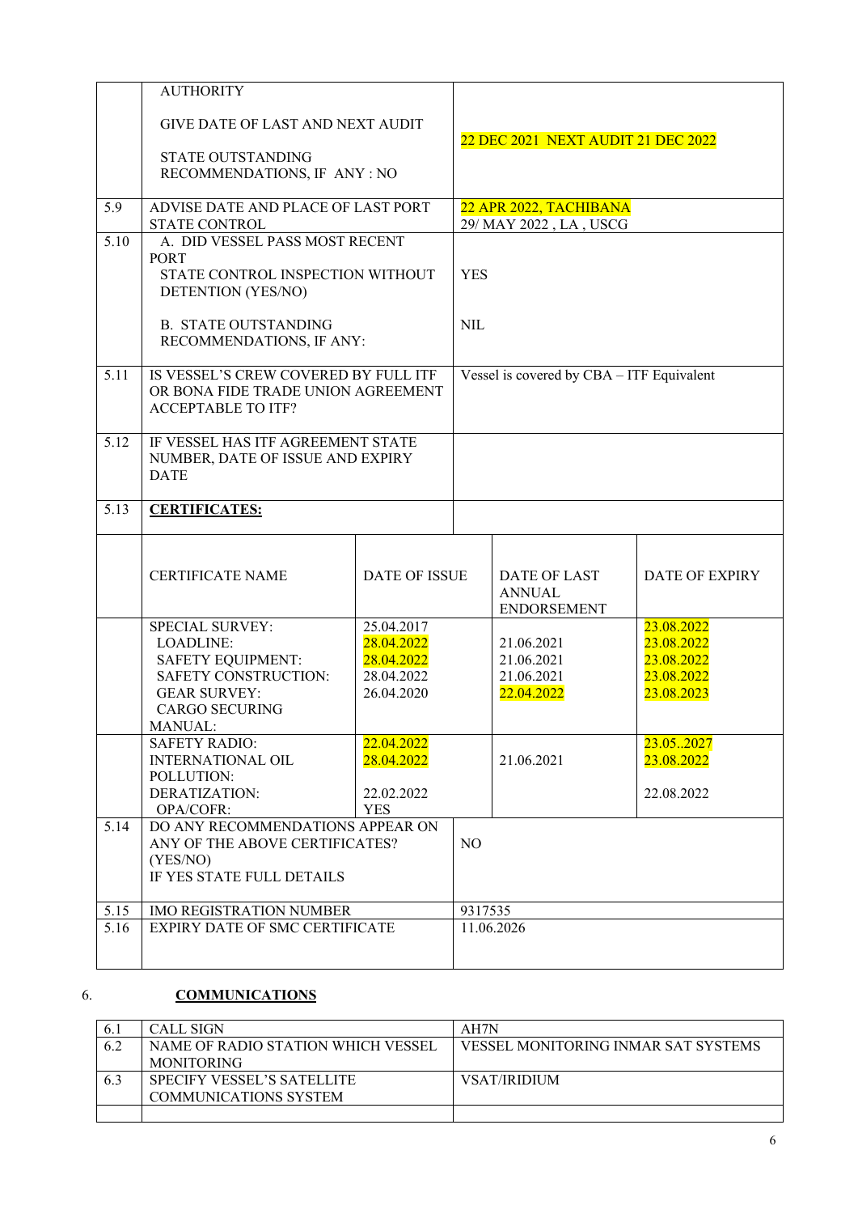|      | <b>AUTHORITY</b>                                                                                                                                   |                                                                    |                          |                                                      |                                                                    |
|------|----------------------------------------------------------------------------------------------------------------------------------------------------|--------------------------------------------------------------------|--------------------------|------------------------------------------------------|--------------------------------------------------------------------|
|      | <b>GIVE DATE OF LAST AND NEXT AUDIT</b><br>STATE OUTSTANDING<br>RECOMMENDATIONS, IF ANY : NO                                                       |                                                                    |                          | 22 DEC 2021 NEXT AUDIT 21 DEC 2022                   |                                                                    |
| 5.9  | ADVISE DATE AND PLACE OF LAST PORT<br><b>STATE CONTROL</b>                                                                                         |                                                                    |                          | 22 APR 2022, TACHIBANA<br>29/ MAY 2022, LA, USCG     |                                                                    |
| 5.10 | A. DID VESSEL PASS MOST RECENT<br>PORT<br>STATE CONTROL INSPECTION WITHOUT<br>DETENTION (YES/NO)<br><b>B. STATE OUTSTANDING</b>                    |                                                                    | <b>YES</b><br><b>NIL</b> |                                                      |                                                                    |
|      | RECOMMENDATIONS, IF ANY:                                                                                                                           |                                                                    |                          |                                                      |                                                                    |
| 5.11 | IS VESSEL'S CREW COVERED BY FULL ITF<br>OR BONA FIDE TRADE UNION AGREEMENT<br><b>ACCEPTABLE TO ITF?</b>                                            |                                                                    |                          | Vessel is covered by CBA - ITF Equivalent            |                                                                    |
| 5.12 | IF VESSEL HAS ITF AGREEMENT STATE<br>NUMBER, DATE OF ISSUE AND EXPIRY<br><b>DATE</b>                                                               |                                                                    |                          |                                                      |                                                                    |
| 5.13 | <b>CERTIFICATES:</b>                                                                                                                               |                                                                    |                          |                                                      |                                                                    |
|      | <b>CERTIFICATE NAME</b>                                                                                                                            | <b>DATE OF ISSUE</b>                                               |                          | DATE OF LAST<br><b>ANNUAL</b><br><b>ENDORSEMENT</b>  | DATE OF EXPIRY                                                     |
|      | <b>SPECIAL SURVEY:</b><br>LOADLINE:<br><b>SAFETY EQUIPMENT:</b><br>SAFETY CONSTRUCTION:<br><b>GEAR SURVEY:</b><br><b>CARGO SECURING</b><br>MANUAL: | 25.04.2017<br>28.04.2022<br>28.04.2022<br>28.04.2022<br>26.04.2020 |                          | 21.06.2021<br>21.06.2021<br>21.06.2021<br>22.04.2022 | 23.08.2022<br>23.08.2022<br>23.08.2022<br>23.08.2022<br>23.08.2023 |
|      | <b>SAFETY RADIO:</b><br><b>INTERNATIONAL OIL</b><br>POLLUTION:<br>DERATIZATION:<br>OPA/COFR:                                                       | 22.04.2022<br>28.04.2022<br>22.02.2022<br><b>YES</b>               |                          | 21.06.2021                                           | 23.052027<br>23.08.2022<br>22.08.2022                              |
| 5.14 | DO ANY RECOMMENDATIONS APPEAR ON<br>ANY OF THE ABOVE CERTIFICATES?<br>(YES/NO)<br>IF YES STATE FULL DETAILS                                        |                                                                    | NO                       |                                                      |                                                                    |
| 5.15 | <b>IMO REGISTRATION NUMBER</b>                                                                                                                     |                                                                    | 9317535                  |                                                      |                                                                    |
| 5.16 | EXPIRY DATE OF SMC CERTIFICATE                                                                                                                     |                                                                    |                          | 11.06.2026                                           |                                                                    |

## 6. **COMMUNICATIONS**

|     | <b>CALL SIGN</b>                   | AH7N                                       |
|-----|------------------------------------|--------------------------------------------|
| 6.2 | NAME OF RADIO STATION WHICH VESSEL | <b>VESSEL MONITORING INMAR SAT SYSTEMS</b> |
|     | <b>MONITORING</b>                  |                                            |
|     | SPECIFY VESSEL'S SATELLITE         | <b>VSAT/IRIDIUM</b>                        |
|     | COMMUNICATIONS SYSTEM              |                                            |
|     |                                    |                                            |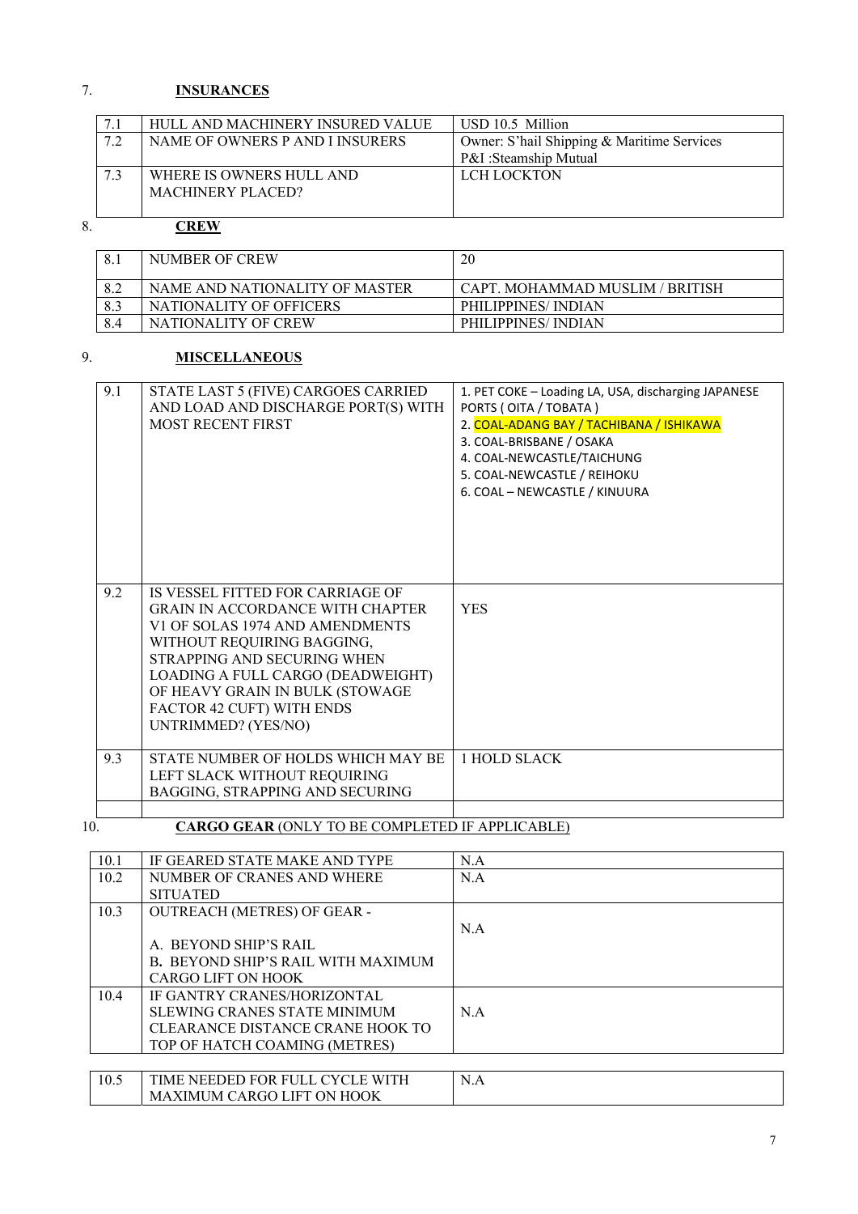# 7. **INSURANCES**

|    | HULL AND MACHINERY INSURED VALUE | USD 10.5 Million                           |
|----|----------------------------------|--------------------------------------------|
| 72 | NAME OF OWNERS P AND I INSURERS  | Owner: S'hail Shipping & Maritime Services |
|    |                                  | P&I:Steamship Mutual                       |
|    | WHERE IS OWNERS HULL AND         | LCH LOCKTON                                |
|    | MACHINERY PLACED?                |                                            |
|    |                                  |                                            |

# 8. **CREW**

| 8.  | NUMBER OF CREW                 | 20                              |
|-----|--------------------------------|---------------------------------|
| 8.2 | NAME AND NATIONALITY OF MASTER | CAPT. MOHAMMAD MUSLIM / BRITISH |
| 8.3 | NATIONALITY OF OFFICERS        | <b>PHILIPPINES/INDIAN</b>       |
|     | NATIONALITY OF CREW            | PHILIPPINES/INDIAN              |

## 9. **MISCELLANEOUS**

| 9.1 | STATE LAST 5 (FIVE) CARGOES CARRIED<br>AND LOAD AND DISCHARGE PORT(S) WITH<br>MOST RECENT FIRST                                                                                                                                                                     | 1. PET COKE - Loading LA, USA, discharging JAPANESE<br>PORTS (OITA / TOBATA)<br>2. COAL-ADANG BAY / TACHIBANA / ISHIKAWA<br>3. COAL-BRISBANE / OSAKA<br>4. COAL-NEWCASTLE/TAICHUNG<br>5. COAL-NEWCASTLE / REIHOKU<br>6. COAL - NEWCASTLE / KINUURA |
|-----|---------------------------------------------------------------------------------------------------------------------------------------------------------------------------------------------------------------------------------------------------------------------|----------------------------------------------------------------------------------------------------------------------------------------------------------------------------------------------------------------------------------------------------|
| 9.2 | IS VESSEL FITTED FOR CARRIAGE OF                                                                                                                                                                                                                                    |                                                                                                                                                                                                                                                    |
|     | <b>GRAIN IN ACCORDANCE WITH CHAPTER</b><br>V1 OF SOLAS 1974 AND AMENDMENTS<br>WITHOUT REQUIRING BAGGING,<br>STRAPPING AND SECURING WHEN<br>LOADING A FULL CARGO (DEADWEIGHT)<br>OF HEAVY GRAIN IN BULK (STOWAGE<br>FACTOR 42 CUFT) WITH ENDS<br>UNTRIMMED? (YES/NO) | <b>YES</b>                                                                                                                                                                                                                                         |
| 9.3 | STATE NUMBER OF HOLDS WHICH MAY BE<br>LEFT SLACK WITHOUT REQUIRING<br>BAGGING, STRAPPING AND SECURING                                                                                                                                                               | 1 HOLD SLACK                                                                                                                                                                                                                                       |
|     |                                                                                                                                                                                                                                                                     |                                                                                                                                                                                                                                                    |

 $\frac{1}{10}$ 

# 10. **CARGO GEAR** (ONLY TO BE COMPLETED IF APPLICABLE)

| 10.1 | IF GEARED STATE MAKE AND TYPE       | N.A |
|------|-------------------------------------|-----|
| 10.2 | NUMBER OF CRANES AND WHERE          | N.A |
|      | <b>SITUATED</b>                     |     |
| 10.3 | <b>OUTREACH (METRES) OF GEAR -</b>  |     |
|      |                                     | N.A |
|      | A. BEYOND SHIP'S RAIL               |     |
|      | B. BEYOND SHIP'S RAIL WITH MAXIMUM  |     |
|      | CARGO LIFT ON HOOK                  |     |
| 10.4 | <b>IF GANTRY CRANES/HORIZONTAL</b>  |     |
|      | <b>SLEWING CRANES STATE MINIMUM</b> | N.A |
|      | CLEARANCE DISTANCE CRANE HOOK TO    |     |
|      | TOP OF HATCH COAMING (METRES)       |     |
|      |                                     |     |
| 10.5 | TIME NEEDED FOR FULL CYCLE WITH     | N.A |
|      | <b>MAXIMUM CARGO LIFT ON HOOK</b>   |     |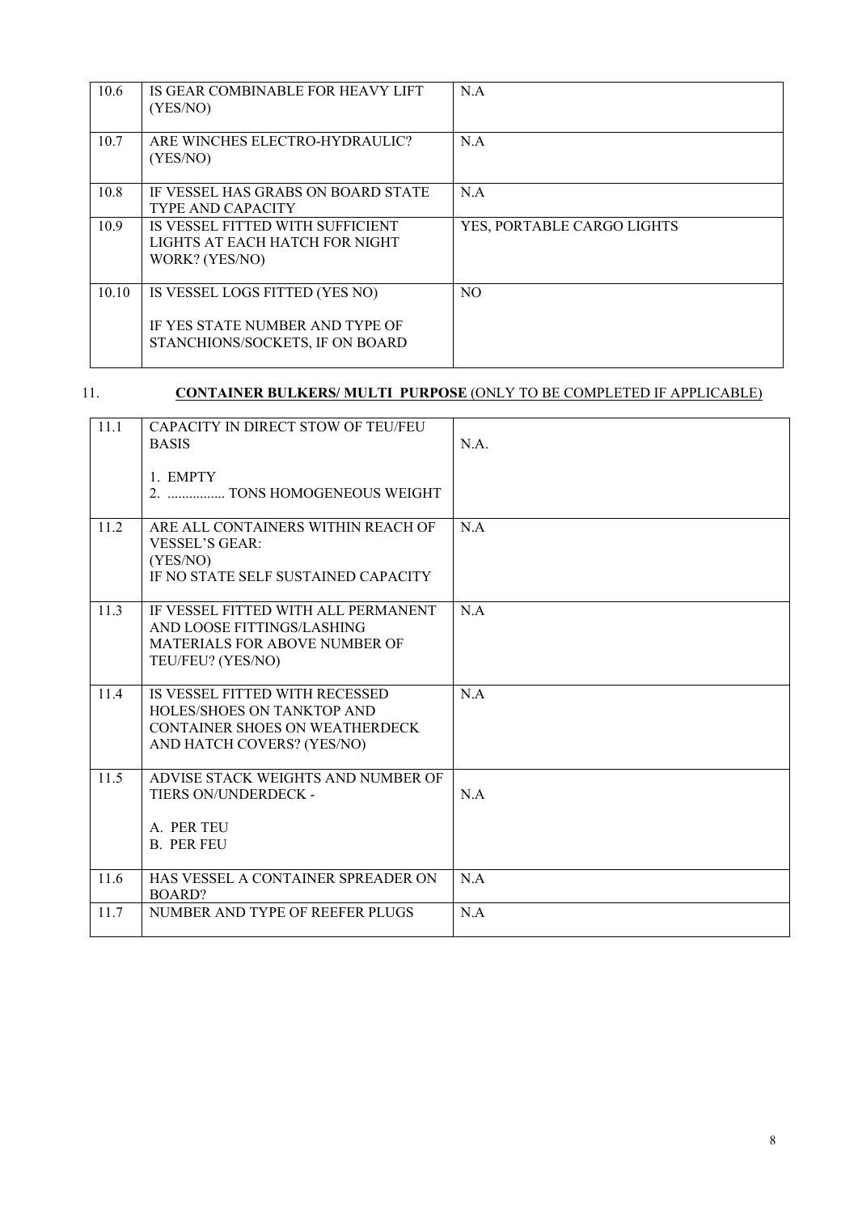| 10.6  | IS GEAR COMBINABLE FOR HEAVY LIFT<br>(YES/NO)                                                        | N.A                        |
|-------|------------------------------------------------------------------------------------------------------|----------------------------|
| 10.7  | ARE WINCHES ELECTRO-HYDRAULIC?<br>(YES/NO)                                                           | N.A                        |
| 10.8  | IF VESSEL HAS GRABS ON BOARD STATE<br>TYPE AND CAPACITY                                              | N.A                        |
| 10.9  | IS VESSEL FITTED WITH SUFFICIENT<br>LIGHTS AT EACH HATCH FOR NIGHT<br>WORK? (YES/NO)                 | YES, PORTABLE CARGO LIGHTS |
| 10.10 | IS VESSEL LOGS FITTED (YES NO)<br>IF YES STATE NUMBER AND TYPE OF<br>STANCHIONS/SOCKETS, IF ON BOARD | N <sub>O</sub>             |

# 11. **CONTAINER BULKERS/ MULTI PURPOSE** (ONLY TO BE COMPLETED IF APPLICABLE)

| 11.1 | CAPACITY IN DIRECT STOW OF TEU/FEU<br><b>BASIS</b>                                                                                  | N.A. |
|------|-------------------------------------------------------------------------------------------------------------------------------------|------|
|      | 1. EMPTY<br>2.  TONS HOMOGENEOUS WEIGHT                                                                                             |      |
| 11.2 | ARE ALL CONTAINERS WITHIN REACH OF<br><b>VESSEL'S GEAR:</b><br>(YES/NO)<br>IF NO STATE SELF SUSTAINED CAPACITY                      | N.A  |
| 11.3 | IF VESSEL FITTED WITH ALL PERMANENT<br>AND LOOSE FITTINGS/LASHING<br><b>MATERIALS FOR ABOVE NUMBER OF</b><br>TEU/FEU? (YES/NO)      | N.A  |
| 11.4 | IS VESSEL FITTED WITH RECESSED<br><b>HOLES/SHOES ON TANKTOP AND</b><br>CONTAINER SHOES ON WEATHERDECK<br>AND HATCH COVERS? (YES/NO) | N.A  |
| 11.5 | ADVISE STACK WEIGHTS AND NUMBER OF<br>TIERS ON/UNDERDECK -<br>A. PER TEU<br><b>B. PER FEU</b>                                       | N.A  |
| 11.6 | HAS VESSEL A CONTAINER SPREADER ON<br><b>BOARD?</b>                                                                                 | N.A  |
| 11.7 | NUMBER AND TYPE OF REEFER PLUGS                                                                                                     | N.A  |